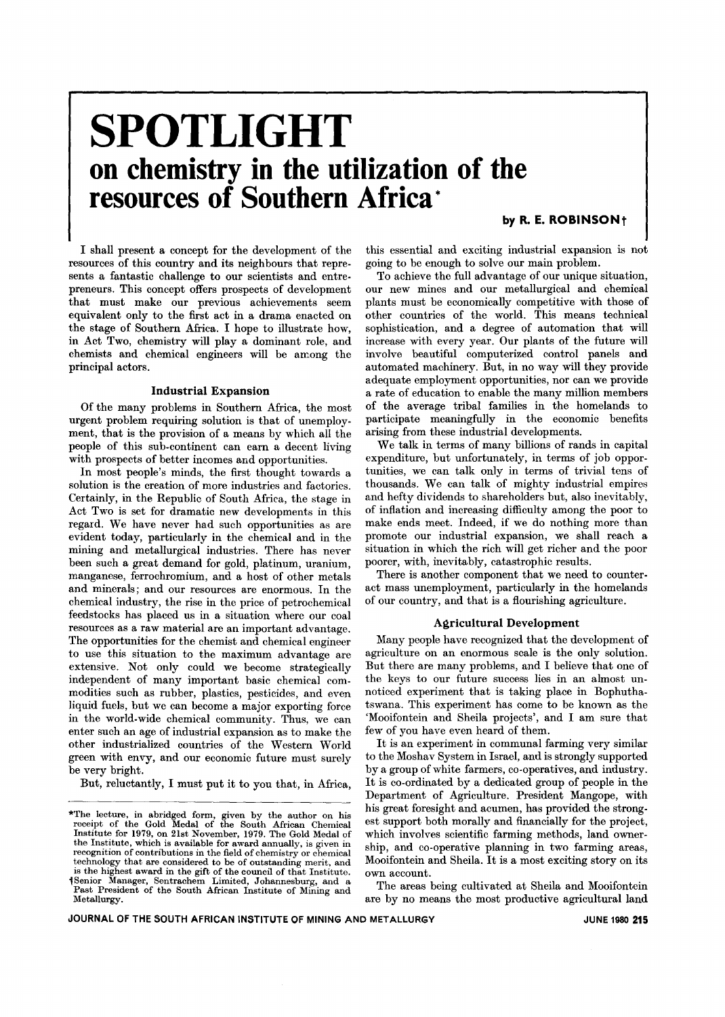# **SPOTLIGHT on chemistry in the utilization of the resources of Southern Africa \***

by R. E. ROBINSON<sup>+</sup>

I shall present a concept for the development of the resources of this country and its neighbours that represents a fantastic challenge to our scientists and entrepreneurs. This concept offers prospects of development that must make our previous achievements seem equivalent only to the first act in a drama enacted on the stage of Southern Africa. I hope to illustrate how, in Act Two, chemistry will play a dominant role, and chemists and chemical engineers will be among the principal actors.

#### Industrial Expansion

Of the many problems in Southern Africa, the most urgent problem requiring solution is that of unemployment, that is the provision of a means by which all the people of this sub-continent can earn a decent living with prospects of better incomes and opportunities.

In most people's minds, the first thought towards a solution is the creation of more industries and factories. Certainly, in the Republic of South Africa, the stage in Act Two is set for dramatic new developments in this regard. We have never had such opportunities as are evident today, particularly in the chemical and in the mining and metallurgical industries. There has never been such a great demand for gold, platinum, uranium, manganese, ferrochromium, and a host of other metals and minerals; and our resources are enormous. In the chemical industry, the rise in the price of petrochemical feedstocks has placed us in a situation where our coal resources as a raw material are an important advantage. The opportunities for the chemist and chemical engineer to use this situation to the maximum advantage are extensive. Not only could we become strategically independent of many important basic chemical commodities such as rubber, plastics, pesticides, and even liquid fuels, but we can become a major exporting force in the world-wide chemical community. Thus, we can enter such an age of industrial expansion as to make the other industrialized countries of the Western World green with envy, and our economic future must surely be very bright.

But, reluctantly, I must put it to you that, in Africa,

this essential and exciting industrial expansion is not going to be enough to solve our main problem.

To achieve the full advantage of our unique situation, our new mines and our metallurgical and chemical plants must be economically competitive with those of other countries of the world. This means technical sophistication, and a degree of automation that will increase with every year. Our plants of the future will involve beautiful computerized control panels and automated machinery. But, in no way will they provide adequate employment opportunities, nor can we provide a rate of education to enable the many million members of the average tribal families in the homelands to participate meaningfully in the economic benefits arising from these industrial developments.

We talk in terms of many billions of rands in capital expenditure, but unfortunately, in terms of job opportunities, we can talk only in terms of trivial tens of thousands. We can talk of mighty industrial empires and hefty dividends to shareholders but, also inevitably, of inflation and increasing difficulty among the poor to make ends meet. Indeed, if we do nothing more than promote our industrial expansion, we shall reach a situation in which the rich will get richer and the poor poorer, with, inevitably, catastrophic results.

There is another component that we need to counteract mass unemployment, particularly in the homelands of our country, and that is a flourishing agriculture.

#### Agricultural Development

Many people have recognized that the development of agriculture on an enormous scale is the only solution. But there are many problems, and I believe that one of the keys to our future success lies in an almost unnoticed experiment that is taking place in Bophuthatswana. This experiment has come to be known as the 'Mooifontein and Sheila projects', and I am sure that few of you have even heard of them.

It is an experiment in communal farming very similar to the Moshav System in Israel, and is strongly supported by a group of white farmers, co-operatives, and industry. It is co-ordinated by a dedicated group of people in the Department of Agriculture. President Mangope, with The lecture, in abridged form, given by the author on his great foresight and acumen, has provided the strong\*<br>receipt of the Gold Medal of the South African Chemical est support both morally and financially for the projec Institute for 1979, on 21st November, 1979. The Gold Medal of which involves scientific farming methods, land owner-<br>the Institute, which is available for award annually, is given in ship, and co-operative planning in two technology that are considered to be of outstanding merit, and Mooifontein and Sheila. It is a most exciting story on its

are by no means the most productive agricultural land

Institute for 1979, on 21st November, 1979. The Gold Medal of which involves scientific farming methods, land ownerrecognition of contributions in the field of chemistry or chemical is the highest award in the gift of the council of that Institute. own account. iSenior Manager, Sentrachem Limited, Johannesburg, and a He areas being cultivated at Sheila and Mooifontein<br>Past President of the South African Institute of Mining and The areas being cultivated at Sheila and Mooifontein<br>Metallurgy.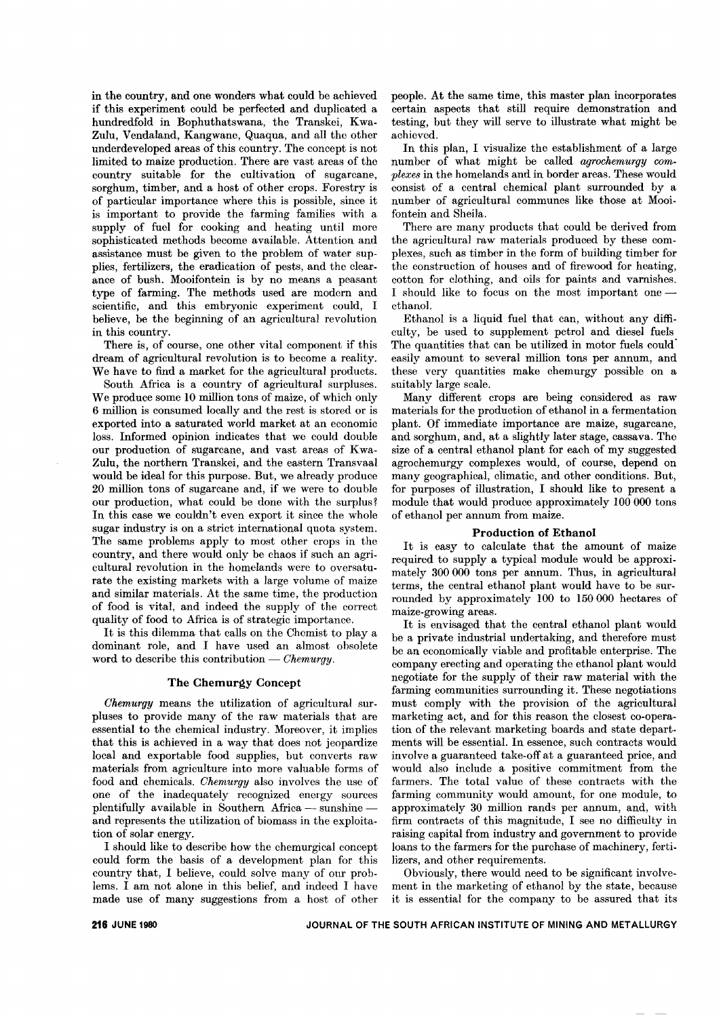in the country, and one wonders what could be achieved if this experiment could be perfected and duplicated a hundredfold in Bophuthatswana, the Transkei, Kwa-Zulu, Vendaland, Kangwane, Quaqua, and all the other underdeveloped areas of this country. The concept is not limited to maize production. There are vast areas of the country suitable for the cultivation of sugarcane, sorghum, timber, and a host of other crops. Forestry is of particular importance where this is possible, since it is important to provide the farming families with a supply of fuel for cooking and heating until more sophisticated methods become available. Attention and assistance must be given to the problem of water supplies, fertilizers, the eradication of pests, and the clearance of bush. Mooifontein is by no means a peasant type of farming. The methods used are modern and scientific, and this embryonic experiment could, I believe, be the beginning of an agricultural revolution in this country.

There is, of course, one other vital component if this dream of agricultural revolution is to become a reality. We have to find a market for the agricultural products.

South Africa is a country of agricultural surpluses. We produce some 10 million tons of maize, of which only 6 million is consumed locally and the rest is stored or is exported into a saturated world market at an economic loss. Informed opinion indicates that we could double our production of sugarcane, and vast areas of Kwa-Zulu, the northern Transkei, and the eastern Transvaal would be ideal for this purpose. But, we already produce 20 million tons of sugarcane and, if we were to double our production, what could be done with the surplus? In this case we couldn't even export it since the whole sugar industry is on a strict international quota system. The same problems apply to most other crops in the country, and there would only be chaos if such an agricultural revolution in the homelands were to oversaturate the existing markets with a large volume of maize and similar materials. At the same time, the production of food is vital, and indeed the supply of the correct quality of food to Africa is of strategic importance.

It is this dilemma that calls on the Chemist to play a dominant role, and I have used an almost obsolete word to describe this contribution - *Chemurgy*.

## The Chemurgy Concept

*Chemurgy* means the utilization of agricultural surpluses to provide many of the raw materials that are essential to the chemical industry. Moreover, it implies that this is achieved in a way that does not jeopardize local and exportable food supplies, but converts raw materials from agriculture into more valuable forms of food and chemicals. *Chemurgy* also involves the use of one of the inadequately recognized energy sources plentifully available in Southern Africa — sunshine and represents the utilization of biomass in the exploitation of solar energy.

I should like to describe how the chemurgical concept could form the basis of a development plan for this country that, I believe, could solve many of our problems. I am not alone in this belief, and indeed I have made use of many suggestions from a host of other people. At the same time, this master plan incorporates certain aspects that still require demonstration and testing, but they will serve to illustrate what might be achieved.

In this plan, I visualize the establishment of a large number of what might be called *agrochemurgy complexes* in the homelands and in border areas. These would consist of a central chemical plant surrounded by a number of agricultural communes like those at Mooi. fontein and Sheila.

There are many products that could be derived from the agricultural raw materials produced by these complexes, such as timber in the form of building timber for the construction of houses and of firewood for heating, cotton for clothing, and oils for paints and varnishes. I should like to focus on the most important oneethanol.

Ethanol is a liquid fuel that can, without any difficulty, be used to supplement petrol and diesel fuels The quantities that can be utilized in motor fuels could' easily amount to several million tons per annum, and these very quantities make chemurgy possible on a suitably large scale.

Many different crops are being considered as raw materials for the production of ethanol in a fermentation plant. Of immediate importance are maize, sugarcane, and sorghum, and, at a slightly later stage, cassava. The size of a central ethanol plant for each of my suggested agrochemurgy complexes would, of course, depend on many geographical, climatic, and other conditions. But, for purposes of illustration, I should like to present a module that would produce approximately 100 000 tons of ethanol per annum from maize.

#### Production of Ethanol

It is easy to calculate that the amount of maize required to supply a typical module would be approximately 300 000 tons per annum. Thus, in agricultural terms, the central ethanol plant would have to be surrounded by approximately 100 to 150 000 hectares of maize-growing areas.

It is envisaged that the central ethanol plant would be a private industrial undertaking, and therefore must be an economically viable and profitable enterprise. The company erecting and operating the ethanol plant would negotiate for the supply of their raw material with the farming communities surrounding it. These negotiations must comply with the provision of the agricultural marketing act, and for this reason the closest co-operation of the relevant marketing boards and state departments will be essential. In essence, such contracts would involve a guaranteed take-off at a guaranteed price, and would also include a positive commitment from the farmers. The total value of these contracts with the farming community would amount, for one module, to approximately 30 million rands per annum, and, with firm contracts of this magnitude, I see no difficulty in raising capital from industry and government to provide loans to the farmers for the purchase of machinery, fertilizers, and other requirements.

Obviously, there would need to be significant involvement in the marketing of ethanol by the state, because it is essential for the company to be assured that its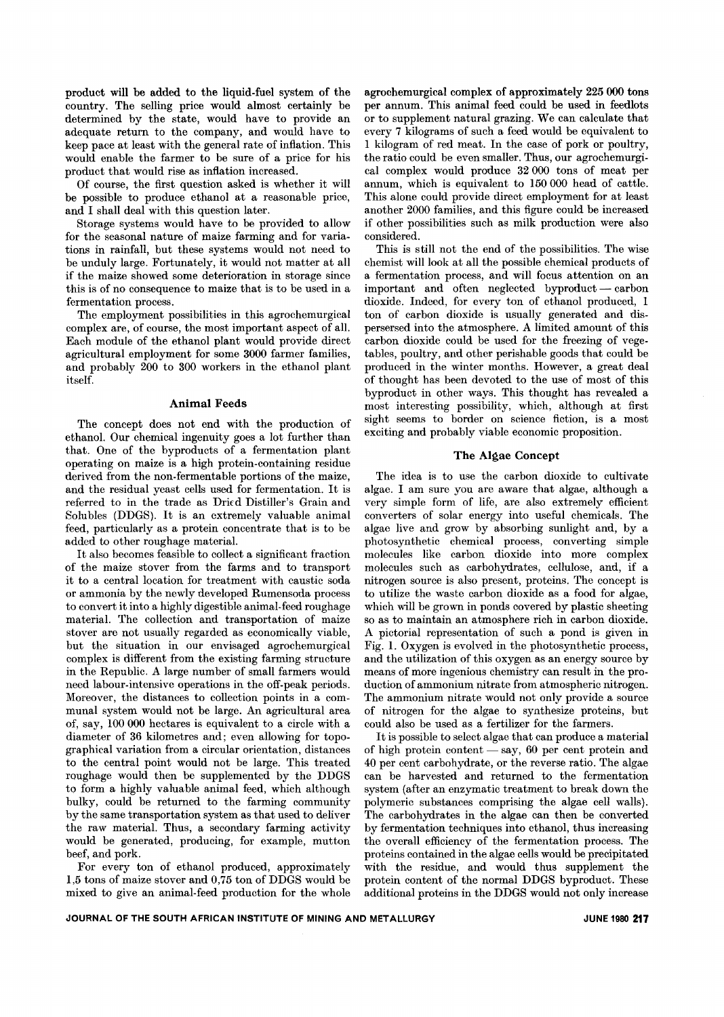product will be added to the liquid-fuel system of the country. The selling price would almost certainly be determined by the state, would have to provide an adequate return to the company, and would have to keep pace at least with the general rate of inflation. This would enable the farmer to be sure of a price for his product that would rise as inflation increased.

Of course, the first question asked is whether it will be possible to produce ethanol at a reasonable price, and I shall deal with this question later.

Storage systems would have to be provided to allow for the seasonal nature of maize farming and for variations in rainfall, but these systems would not need to be unduly large. Fortunately, it would not matter at all if the maize showed some deterioration in storage since this is of no consequence to maize that is to be used in a fermentation process.

The employment possibilities in this agrochemurgical complex are, of course, the most important aspect of all. Each module of the ethanol plant would provide direct agricultural employment for some 3000 farmer families, and probably 200 to 300 workers in the ethanol plant itself.

#### Animal Feeds

The concept does not end with the production of ethanol. Our chemical ingenuity goes a lot further than that. One of the byproducts of a fermentation plant operating on maize is a high protein-containing residue derived from the non-fermentable portions of the maize, and the residual yeast cells used for fermentation. It is referred to in the trade as Dried Distiller's Grain and Solubles (DDGS). It is an extremely valuable animal feed, particularly as a protein concentrate that is to be added to other roughage material.

It also becomes feasible to collect a significant fraction of the maize stover from the farms and to transport it to a central location for treatment with caustic soda or ammonia by the newly developed Rumensoda process to convert it into a highly digestible animal-feed roughage material. The collection and transportation of maize stover are not usually regarded as economically viable, but the situation in our envisaged agrochemurgical complex is different from the existing farming structure in the Republic. A large number of small farmers would need labour-intensive operations in the off-peak periods. Moreover, the distances to collection points in a communal system would not be large. An agricultural area of, say, 100 000 hectares is equivalent to a circle with a diameter of 36 kilometres and; even allowing for topographical variation from a circular orientation, distances to the central point would not be large. This treated roughage would then be supplemented by the DDGS to form a highly valuable animal feed, which although bulky, could be returned to the farming community by the same transportation system as that used to deliver the raw material. Thus, a secondary farming activity would be generated, producing, for example, mutton beef, and pork.

For every ton of ethanol produced, approximately 1,5 tons of maize stover and 0,75 ton of DDGS would be mixed to give an animal-feed production for the whole agrochemurgical complex of approximately 225 000 tons per annum. This animal feed could be used in feedlots or to supplement natural grazing. We can calculate that every 7 kilograms of such a feed would be equivalent to 1 kilogram of red meat. In the case of pork or poultry, the ratio could be even smaller. Thus, our agrochemurgical complex would produce 32 000 tons of meat per annum, which is equivalent to 150 000 head of cattle. This alone could provide direct employment for at least another 2000 families, and this figure could be increased if other possibilities such as milk production were also considered.

This is still not the end of the possibilities. The wise chemist will look at all the possible chemical products of a fermentation process, and will focus attention on an  $im$  portant and often neglected by  $product -$  carbon dioxide. Indeed, for every ton of ethanol produced, 1 ton of carbon dioxide is usually generated and dispersersed into the atmosphere. A limited amount of this carbon dioxide could be used for the freezing of vegetables, poultry, and other perishable goods that could be produced in the winter months. However, a great deal of thought has been devoted to the use of most of this byproduct in other ways. This thought has revealed a most interesting possibility, which, although at first sight seems to border on science fiction, is a most exciting and probably viable economic proposition.

## The Algae Concept

The idea is to use the carbon dioxide to cultivate algae. I am sure you are aware that algae, although a very simple form of life, are also extremely efficient converters of solar energy into useful chemicals. The algae live and grow by absorbing sunlight and, by a photosynthetic chemical process, converting simple molecules like carbon dioxide into more complex molecules such as carbohydrates, cellulose, and, if a nitrogen source is also present, proteins. The concept is to utilize the waste carbon dioxide as a food for algae, which will be grown in ponds covered by plastic sheeting so as to maintain an atmosphere rich in carbon dioxide. A pictorial representation of such a pond is given in Fig. 1. Oxygen is evolved in the photosynthetic process, and the utilization of this oxygen as an energy source by means of more ingenious chemistry can result in the production of ammonium nitrate from atmospheric nitrogen. The ammonium nitrate would not only provide a source of nitrogen for the algae to synthesize proteins, but could also be used as a fertilizer for the farmers.

It is possible to select algae that can produce a material of high protein content  $-$  say,  $60$  per cent protein and 40 per cent carbohydrate, or the reverse ratio. The algae can be harvested and returned to the fermentation system (after an enzymatic treatment to break down the polymeric substances comprising the algae cell walls). The carbohydrates in the algae can then be converted by fermentation techniques into ethanol, thus increasing the overall efficiency of the fermentation process. The proteins contained in the algae cells would be precipitated with the residue, and would thus supplement the protein content of the normal DDGS byproduct. These additional proteins in the DDGS would not only increase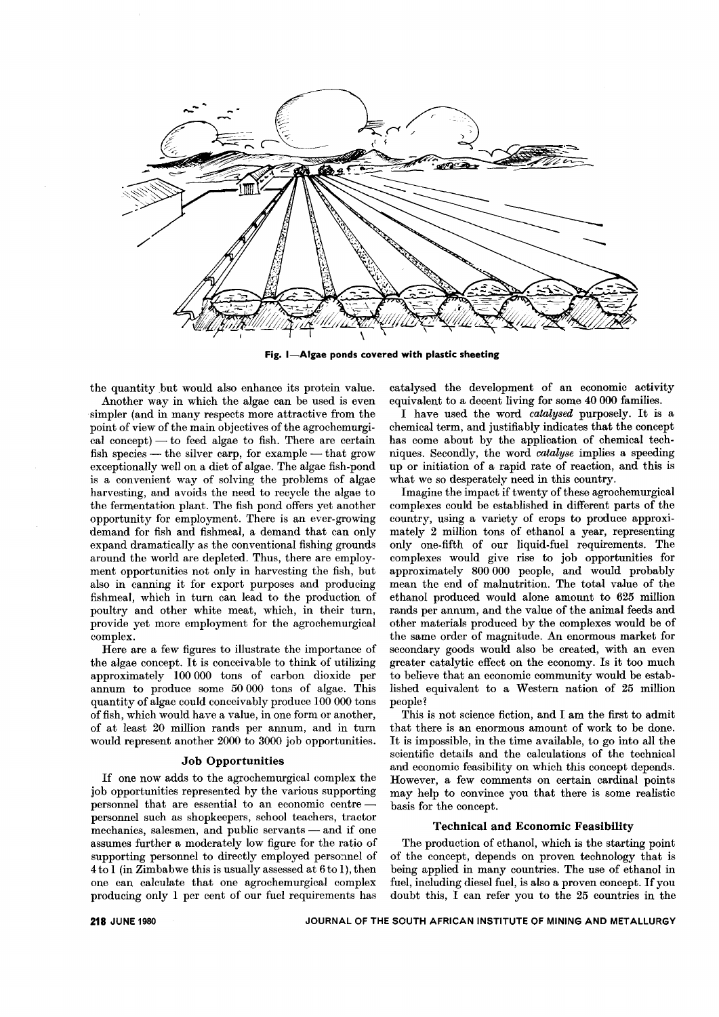

Fig. I-Algae ponds covered with plastic sheeting

the quantity but would also enhance its protein value.

Another way in which the algae can be used is even simpler (and in many respects more attractive from the point of view of the main objectives of the agrochemurgi- $\text{ca}$  concept) — to feed algae to fish. There are certain fish species — the silver carp, for example — that grow exceptionally well on a diet of algae. The algae fish-pond is a convenient way of solving the problems of algae harvesting, and avoids the need to recycle the algae to the fermentation plant. The fish pond offers yet another opportunity for employment. There is an ever-growing demand for fish and fishmeal, a demand that can only expand dramatically as the conventional fishing grounds around the world are depleted. Thus, there are employment opportunities not only in harvesting the fish, but also in canning it for export purposes and producing fishmeal, which in turn can lead to the production of poultry and other white meat, which, in their turn, provide yet more employment for the agrochemurgical complex.

Here are a few figures to illustrate the importance of the algae concept. It is conceivable to think of utilizing approximately 100 000 tons of carbon dioxide per annum to produce some 50 000 tons of algae. This quantity of algae could conceivably produce 100 000 tons of fish, which would have a value, in one form or another, of at least 20 million rands per annum, and in turn would represent another 2000 to 3000 job opportunities.

# Job Opportunities

If one now adds to the agrochemurgical complex the job opportunities represented by the various supporting personnel that are essential to an economic centrepersonnel such as shopkeepers, school teachers, tractor  $\rm{mechanics,~salesmen,~and~public~servants \textcolor{red}{\boldsymbol{-}} and~if~one$ assumes further a moderately low figure for the ratio of supporting personnel to directly employed personnel of 4to I (in Zimbabwe this is usually assessed at 6to 1), then one can calculate that one agrochemurgical complex producing only 1 per cent of our fuel requirements has

catalysed the development of an economic activity equivalent to a decent living for some 40 000 families.

I have used the word *catalysed* purposely. It is a chemical term, and justifiably indicates that the concept has come about by the application of chemical techniques. Secondly, the word *catalyse* implies a speeding up or initiation of a rapid rate of reaction, and this is what we so desperately need in this country.

Imagine the impact if twenty of these agrochemurgical complexes could be established in different parts of the country, using a variety of crops to produce approximately 2 million tons of ethanol a year, representing only one-fifth of our liquid-fuel requirements. The complexes would give rise to job opportunities for approximately 800 000 people, and would probably mean the end of malnutrition. The total value of the ethanol produced would alone amount to 625 million rands per annum, and the value of the animal feeds and other materials produced by the complexes would be of the same order of magnitude. An enormous market for secondary goods would also be created, with an even greater catalytic effect on the economy. Is it too much to believe that an economic community would be established equivalent to a Western nation of 25 million people?

This is not science fiction, and I am the first to admit that there is an enormous amount of work to be done. It is impossible, in the time available, to go into all the scientific details and the calculations of the technical and economic feasibility on which this concept depends. However, a few comments on certain cardinal points may help to convince you that there is some realistic basis for the concept.

#### Technical and Economic Feasibility

The production of ethanol, which is the starting point of the concept, depends on proven technology that is being applied in many countries. The use of ethanol in fuel, including diesel fuel, is also a proven concept. If you doubt this, I can refer you to the 25 countries in the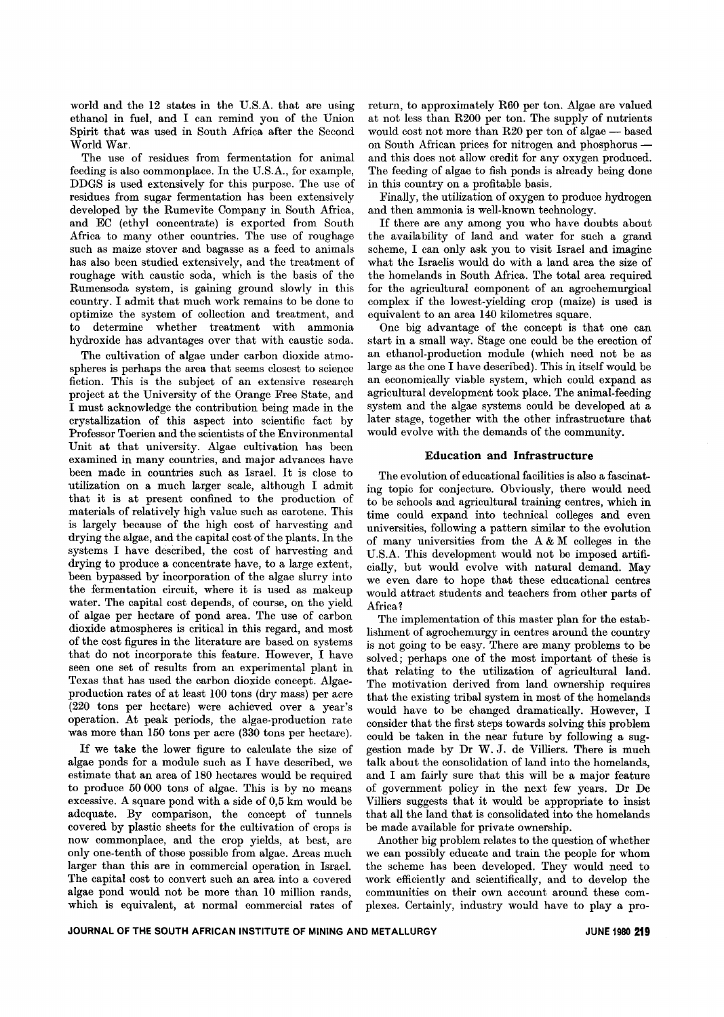world and the 12 states in the U.S.A. that are using ethanol in fuel, and I can remind you of the Union Spirit that was used in South Africa after the Second World War.

The use of residues from fermentation for animal feeding is also commonplace. In the U.S.A., for example, DDGS is used extensively for this purpose. The use of residues from sugar fermentation has been extensively developed by the Rumevite Company in South Africa, and EC (ethyl concentrate) is exported from South Africa to many other countries. The use of roughage such as maize stover and bagasse as a feed to animals has also been studied extensively, and the treatment of roughage with caustic soda, which is the basis of the Rumensoda system, is gaining ground slowly in this country. I admit that much work remains to be done to optimize the system of collection and treatment, and to determine whether treatment with ammonia hydroxide has advantages over that with caustic soda.

The cultivation of algae under carbon dioxide atmospheres is perhaps the area that seems closest to science fiction. This is the subject of an extensive research project at the University of the Orange Free State, and I must acknowledge the contribution being made in the crystallization of this aspect into scientific fact by Professor Toerien and the scientists of the Environmental Unit at that university. Algae cultivation has been examined in many countries, and major advances have been made in countries such as Israel. It is close to utilization on a much larger scale, although I admit that it is at present confined to the production of materials of relatively high value such as carotene. This is largely because of the high cost of harvesting and drying the algae, and the capital cost of the plants. In the systems I have described, the cost of harvesting and drying to produce a concentrate have, to a large extent, been bypassed by incorporation of the algae slurry into the fermentation circuit, where it is used as makeup water. The capital cost depends, of course, on the yield of algae per hectare of pond area. The use of carbon dioxide atmospheres is critical in this regard, and most of the cost figures in the literature are based on systems that do not incorporate this feature. However, I have seen one set of results from an experimental plant in Texas that has used the carbon dioxide concept. Algaeproduction rates of at least 100 tons (dry mass) per acre (220 tons per hectare) were achieved over a year's operation. At peak periods, the algae-production rate was more than 150 tons per acre (330 tons per hectare).

If we take the lower figure to calculate the size of algae ponds for a module such as I have described, we estimate that an area of 180 hectares would be required to produce 50 000 tons of algae. This is by no means excessive. A square pond with a side of 0,5 km would be adequate. By comparison, the concept of tunnels covered by plastic sheets for the cultivation of crops is now commonplace, and the crop yields, at best, are only one-tenth of those possible from algae. Areas much larger than this are in commercial operation in Israel. The capital cost to convert such an area into a covered algae pond would not be more than 10 million rands, which is equivalent, at normal commercial rates of

return, to approximately R60 per ton. Algae are valued at not less than R200 per ton. The supply of nutrients would cost not more than R20 per ton of algae - based on South African prices for nitrogen and phosphorus and this does not allow credit for any oxygen produced. The feeding of algae to fish ponds is already being done in this country on a profitable basis.

Finally, the utilization of oxygen to produce hydrogen and then ammonia is well-known technology.

If there are any among you who have doubts about the availability of land and water for such a grand scheme, I can only ask you to visit Israel and imagine what the Israelis would do with a land area the size of the homelands in South Africa. The total area required for the agricultural component of an agrochemurgical complex if the lowest-yielding crop (maize) is used is equivalent to an area 140 kilometres square.

One big advantage of the concept is that one can start in a small way. Stage one could be the erection of an ethanol-production module (which need not be as large as the one I have described). This in itself would be an economically viable system, which could expand as agricultural development took place. The animal-feeding system and the algae systems could be developed at a later stage, together with the other infrastructure that would evolve with the demands of the community.

# **Education and Infrastructure**

The evolution of educational facilities is also a fascinating topic for conjecture. Obviously, there would need to be schools and agricultural training centres, which in time could expand into technical colleges and even universities, following a pattern similar to the evolution of many universities from the A & M colleges in the U.S.A. This development would not be imposed artificially, but would evolve with natural demand. May we even dare to hope that these educational centres would attract students and teachers from other parts of Africa?

The implementation of this master plan for the establishment of agrochemurgy in centres around the country is not going to be easy. There are many problems to be solved; perhaps one of the most important of these is that relating to the utilization of agricultural land. The motivation derived from land ownership requires that the existing tribal system in most of the homelands would have to be changed dramatically. However, I consider that the first steps towards solving this problem could be taken in the near future by following a suggestion made by Dr W. J. de Villiers. There is much talk about the consolidation of land into the homelands, and I am fairly sure that this will be a major feature of government policy in the next few years. Dr De Villiers suggests that it would be appropriate to insist that all the land that is consolidated into the homelands be made available for private ownership.

Another big problem relates to the question of whether we can possibly educate and train the people for whom the scheme has been developed. They would need to work efficiently and scientifically, and to develop the communities on their own account around these complexes. Certainly, industry would have to play a pro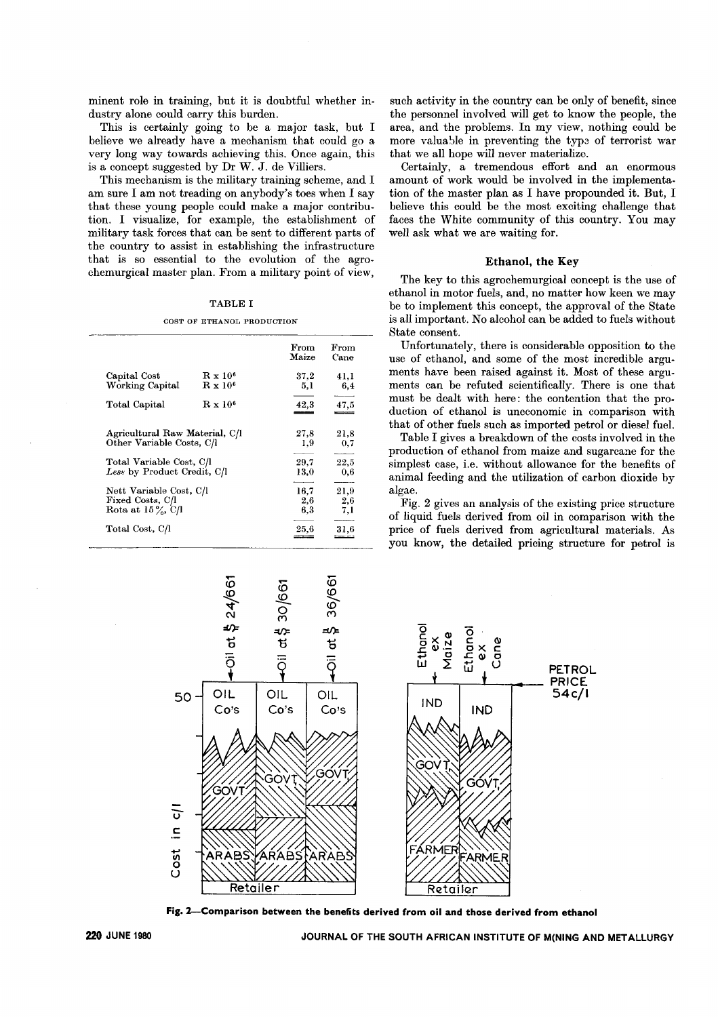minent role in training, but it is doubtful whether industry alone could carry this burden.

This is certainly going to be a major task, but I believe we already have a mechanism that could go a very long way towards achieving this. Once again, this is a concept suggested by Dr W. J. de Villiers.

This mechanism is the military training scheme, and I am sure I am not treading on anybody's toes when I say that these young people could make a major contribution. I visualize, for example, the establishment of military task forces that can be sent to different parts of the country to assist in establishing the infrastructure that is so essential to the evolution of the agrochemurgical master plan. From a military point of view,

# TABLE I

#### COST OF ETHANOL PRODUCTION

|                                |                            | From  | $\operatorname{From}$ |
|--------------------------------|----------------------------|-------|-----------------------|
|                                |                            | Maize | Cane                  |
| Capital Cost                   | $\rm R~x~10^6$             | 37.2  | 41,1                  |
| Working Capital                | $\mathbf{R} \times 10^6$   | 5,1   | 6.4                   |
| Total Capital                  | $\rm\,R~x$ 10 <sup>6</sup> | 42,3  | 47,5                  |
|                                |                            |       |                       |
| Agricultural Raw Material, C/l |                            | 27,8  | $^{21,8}$             |
| Other Variable Costs, C/l      |                            | 1.9   | 0,7                   |
| Total Variable Cost, C/I       |                            | 29,7  | 22,5                  |
| Less by Product Credit, C/l    |                            | 13,0  | 0,6                   |
| Nett Variable Cost, C/l        |                            | 16.7  | 21,9                  |
| Fixed Costs, C/l               |                            | 2,6   | 2,6                   |
| Rota at $15\%$ , C/l           |                            | 6,3   | 7,1                   |
| Total Cost, C/I                |                            | 25,6  | 31,6                  |

such activity in the country can be only of benefit, since the personnel involved will get to know the people, the area, and the problems. In my view, nothing could be more valuable in preventing the type of terrorist war that we all hope will never materialize.

Certainly, a tremendous effort and an enormous amount of work would be involved in the implementation of the master plan as I have propounded it. But, I believe this could be the most exciting challenge that faces the White community of this country. You may well ask what we are waiting for.

# Ethanol, the Key

The key to this agrochemurgical concept is the use of ethanol in motor fuels, and, no matter how keen we may be to implement this concept, the approval of the State is all important. No alcohol can be added to fuels without State consent.

Unfortunately, there is considerable opposition to the use of ethanol, and some of the most incredible arguments have been raised against it. Most of these arguments can be refuted scientifically. There is one that must be dealt with here: the contention that the production of ethanol is uneconomic in comparison with that of other fuels such as imported petrol or diesel fuel.

Table I gives a breakdown of the costs involved in the production of ethanol from maize and sugarcane for the simplest case, i.e. without allowance for the benefits of animal feeding and the utilization of carbon dioxide by algae.

Fig. 2 gives an analysis of the existing price structure of liquid fuels derived from oil in comparison with the price of fuels derived from agricultural materials. As you know, the detailed pricing structure for petrol is



Fig. 2-Comparison between the benefits derived from oil and those derived from ethanol

JOURNAL OF THE SOUTH AFRICAN INSTITUTE OF M(NING AND METALLURGY